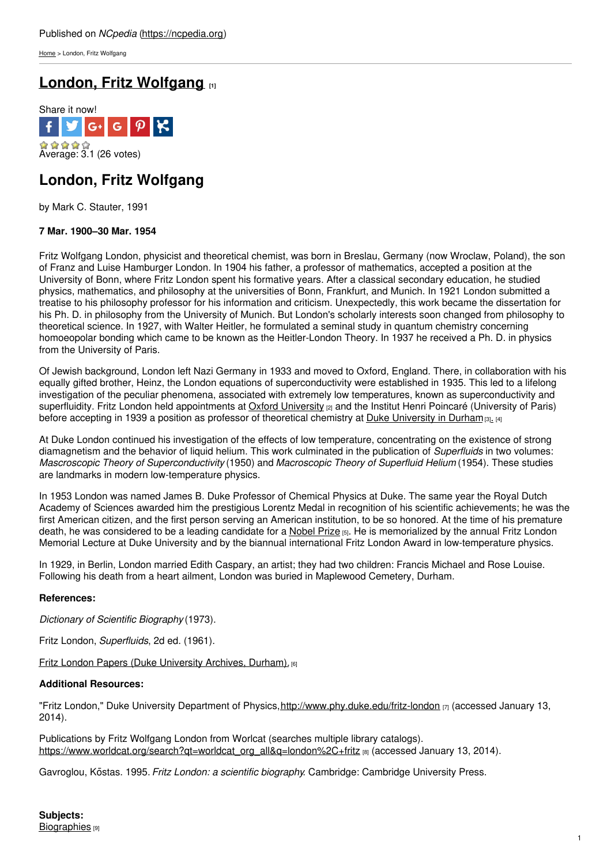[Home](https://ncpedia.org/) > London, Fritz Wolfgang

# **London, Fritz [Wolfgang](https://ncpedia.org/biography/london-fritz-wolfgang) [1]**



## **London, Fritz Wolfgang**

by Mark C. Stauter, 1991

### **7 Mar. 1900–30 Mar. 1954**

Fritz Wolfgang London, physicist and theoretical chemist, was born in Breslau, Germany (now Wroclaw, Poland), the son of Franz and Luise Hamburger London. In 1904 his father, a professor of mathematics, accepted a position at the University of Bonn, where Fritz London spent his [formativ](http://www.social9.com)e years. After a classical secondary education, he studied physics, mathematics, and philosophy at the universities of Bonn, Frankfurt, and Munich. In 1921 London submitted a treatise to his philosophy professor for his information and criticism. Unexpectedly, this work became the dissertation for his Ph. D. in philosophy from the University of Munich. But London's scholarly interests soon changed from philosophy to theoretical science. In 1927, with Walter Heitler, he formulated a seminal study in quantum chemistry concerning homoeopolar bonding which came to be known as the Heitler-London Theory. In 1937 he received a Ph. D. in physics from the University of Paris.

Of Jewish background, London left Nazi Germany in 1933 and moved to Oxford, England. There, in collaboration with his equally gifted brother, Heinz, the London equations of superconductivity were established in 1935. This led to a lifelong investigation of the peculiar phenomena, associated with extremely low temperatures, known as superconductivity and superfluidity. Fritz London held appointments at Oxford [University](http://www.ox.ac.uk/) [2] and the Institut Henri Poincaré (University of Paris) before accepting in 1939 a position as professor of theoretical chemistry at Duke [University](http://duke.edu/) in Durham [3][.](https://ncpedia.org/duke-university) [4]

At Duke London continued his investigation of the effects of low temperature, concentrating on the existence of strong diamagnetism and the behavior of liquid helium. This work culminated in the publication of *Superfluids* in two volumes: *Mascroscopic Theory of Superconductivity* (1950) and *Macroscopic Theory of Superfluid Helium* (1954). These studies are landmarks in modern low-temperature physics.

In 1953 London was named James B. Duke Professor of Chemical Physics at Duke. The same year the Royal Dutch Academy of Sciences awarded him the prestigious Lorentz Medal in recognition of his scientific achievements; he was the first American citizen, and the first person serving an American institution, to be so honored. At the time of his premature death, he was considered to be a leading candidate for a [Nobel](http:) Prize [5]. He is memorialized by the annual Fritz London Memorial Lecture at Duke University and by the biannual international Fritz London Award in low-temperature physics.

In 1929, in Berlin, London married Edith Caspary, an artist; they had two children: Francis Michael and Rose Louise. Following his death from a heart ailment, London was buried in Maplewood Cemetery, Durham.

### **References:**

*Dictionary of Scientific Biography* (1973).

Fritz London, *Superfluids*, 2d ed. (1961).

**Fritz London Papers (Duke [University](http://search.library.duke.edu/search?id=DUKE003425279) Archives, Durham).** [6]

### **Additional Resources:**

"Fritz London," Duke University Department of Physics, <http://www.phy.duke.edu/fritz-london> [7] (accessed January 13, 2014).

Publications by Fritz Wolfgang London from Worlcat (searches multiple library catalogs). [https://www.worldcat.org/search?qt=worldcat\\_org\\_all&q=london%2C+fritz](https://www.worldcat.org/search?qt=worldcat_org_all&q=london%2C+fritz) [8] (accessed January 13, 2014).

Gavroglou, Kōstas. 1995. *Fritz London: a scientific biography*. Cambridge: Cambridge University Press.